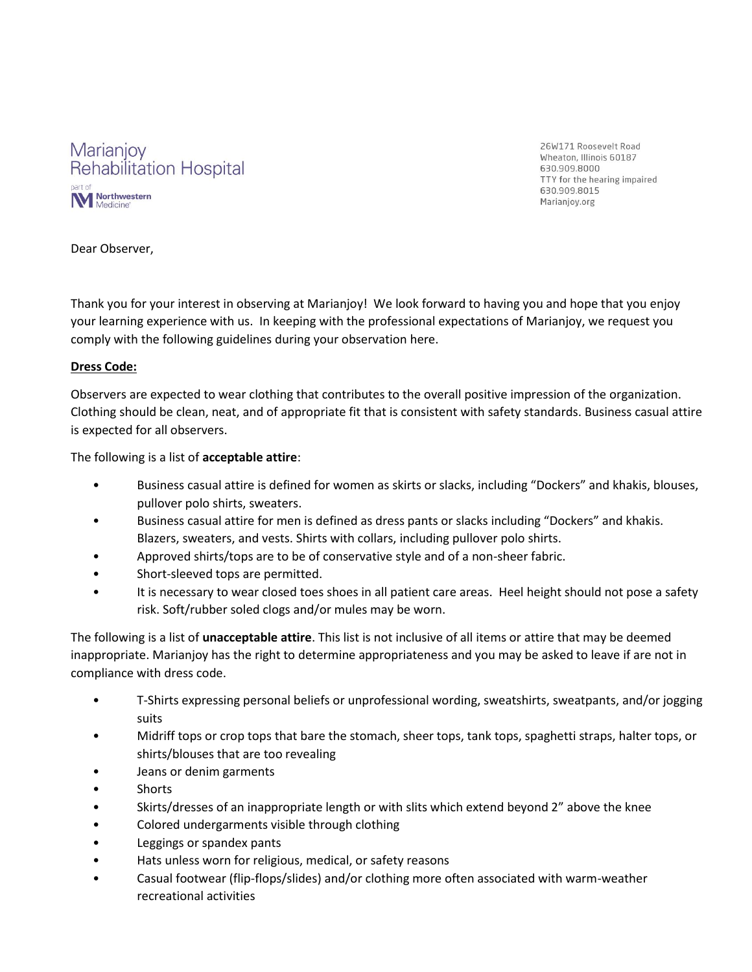

26W171 Roosevelt Road Wheaton, Illinois 60187 630,909,8000 TTY for the hearing impaired 630.909.8015 Marianjoy.org

Dear Observer,

Thank you for your interest in observing at Marianjoy! We look forward to having you and hope that you enjoy your learning experience with us. In keeping with the professional expectations of Marianjoy, we request you comply with the following guidelines during your observation here.

## **Dress Code:**

Observers are expected to wear clothing that contributes to the overall positive impression of the organization. Clothing should be clean, neat, and of appropriate fit that is consistent with safety standards. Business casual attire is expected for all observers.

The following is a list of **acceptable attire**:

- Business casual attire is defined for women as skirts or slacks, including "Dockers" and khakis, blouses, pullover polo shirts, sweaters.
- Business casual attire for men is defined as dress pants or slacks including "Dockers" and khakis. Blazers, sweaters, and vests. Shirts with collars, including pullover polo shirts.
- Approved shirts/tops are to be of conservative style and of a non-sheer fabric.
- Short-sleeved tops are permitted.
- It is necessary to wear closed toes shoes in all patient care areas. Heel height should not pose a safety risk. Soft/rubber soled clogs and/or mules may be worn.

The following is a list of **unacceptable attire**. This list is not inclusive of all items or attire that may be deemed inappropriate. Marianjoy has the right to determine appropriateness and you may be asked to leave if are not in compliance with dress code.

- T-Shirts expressing personal beliefs or unprofessional wording, sweatshirts, sweatpants, and/or jogging suits
- Midriff tops or crop tops that bare the stomach, sheer tops, tank tops, spaghetti straps, halter tops, or shirts/blouses that are too revealing
- Jeans or denim garments
- Shorts
- Skirts/dresses of an inappropriate length or with slits which extend beyond 2" above the knee
- Colored undergarments visible through clothing
- Leggings or spandex pants
- Hats unless worn for religious, medical, or safety reasons
- Casual footwear (flip-flops/slides) and/or clothing more often associated with warm-weather recreational activities